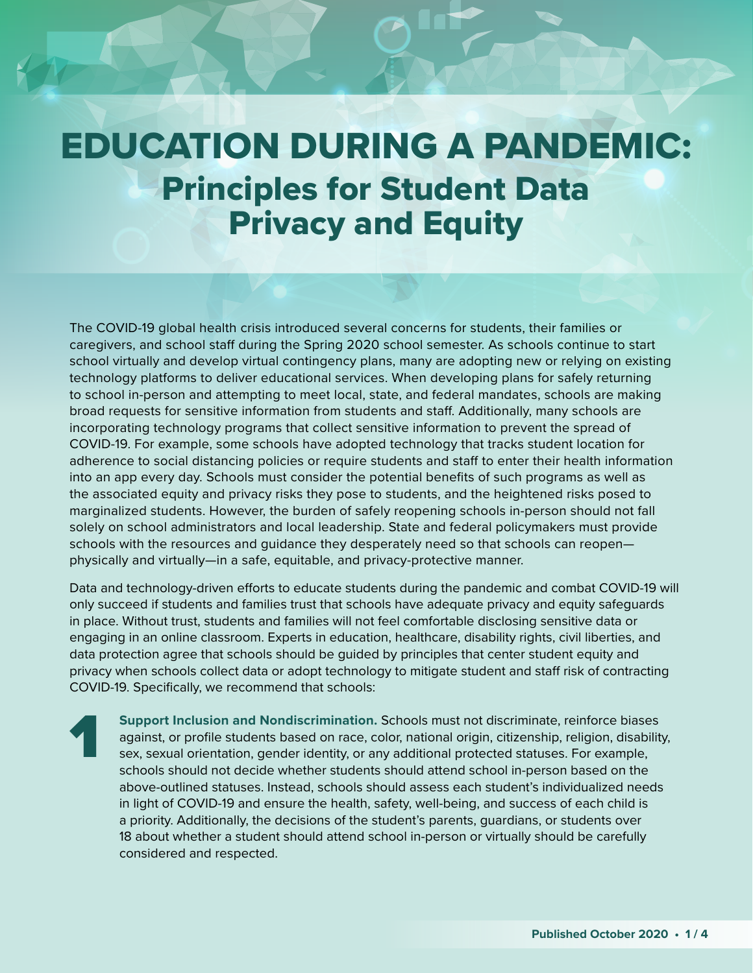## EDUCATION DURING A PANDEMIC: Principles for Student Data Privacy and Equity

The COVID-19 global health crisis introduced several concerns for students, their families or caregivers, and school staff during the Spring 2020 school semester. As schools continue to start school virtually and develop virtual contingency plans, many are adopting new or relying on existing technology platforms to deliver educational services. When developing plans for safely returning to school in-person and attempting to meet local, state, and federal mandates, schools are making broad requests for sensitive information from students and staff. Additionally, many schools are incorporating technology programs that collect sensitive information to prevent the spread of COVID-19. For example, some schools have adopted technology that tracks student location for adherence to social distancing policies or require students and staff to enter their health information into an app every day. Schools must consider the potential benefits of such programs as well as the associated equity and privacy risks they pose to students, and the heightened risks posed to marginalized students. However, the burden of safely reopening schools in-person should not fall solely on school administrators and local leadership. State and federal policymakers must provide schools with the resources and guidance they desperately need so that schools can reopen physically and virtually—in a safe, equitable, and privacy-protective manner.

Data and technology-driven efforts to educate students during the pandemic and combat COVID-19 will only succeed if students and families trust that schools have adequate privacy and equity safeguards in place. Without trust, students and families will not feel comfortable disclosing sensitive data or engaging in an online classroom. Experts in education, healthcare, disability rights, civil liberties, and data protection agree that schools should be guided by principles that center student equity and privacy when schools collect data or adopt technology to mitigate student and staff risk of contracting COVID-19. Specifically, we recommend that schools:

1

**Support Inclusion and Nondiscrimination.** Schools must not discriminate, reinforce biases against, or profile students based on race, color, national origin, citizenship, religion, disability, sex, sexual orientation, gender identity, or any additional protected statuses. For example, schools should not decide whether students should attend school in-person based on the above-outlined statuses. Instead, schools should assess each student's individualized needs in light of COVID-19 and ensure the health, safety, well-being, and success of each child is a priority. Additionally, the decisions of the student's parents, guardians, or students over 18 about whether a student should attend school in-person or virtually should be carefully considered and respected.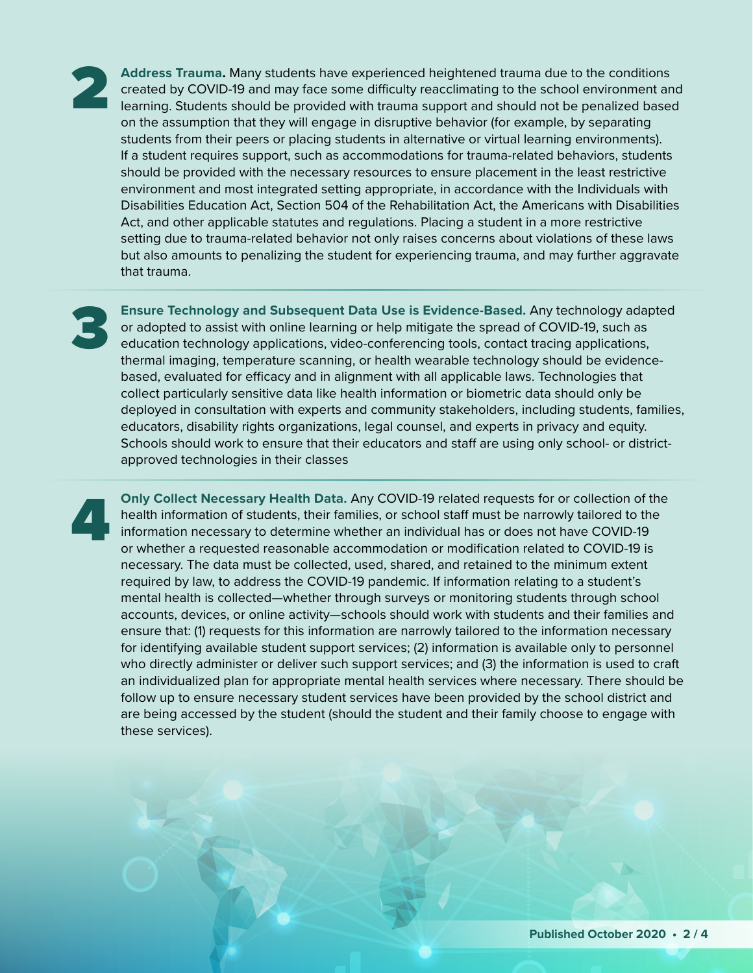**Address Trauma.** Many students have experienced heightened trauma due to the conditions created by COVID-19 and may face some difficulty reacclimating to the school environment and learning. Students should be provided with trauma support and should not be penalized based on the assumption that they will engage in disruptive behavior (for example, by separating students from their peers or placing students in alternative or virtual learning environments). If a student requires support, such as accommodations for trauma-related behaviors, students should be provided with the necessary resources to ensure placement in the least restrictive environment and most integrated setting appropriate, in accordance with the Individuals with Disabilities Education Act, Section 504 of the Rehabilitation Act, the Americans with Disabilities Act, and other applicable statutes and regulations. Placing a student in a more restrictive setting due to trauma-related behavior not only raises concerns about violations of these laws but also amounts to penalizing the student for experiencing trauma, and may further aggravate that trauma.

3

4

**Ensure Technology and Subsequent Data Use is Evidence-Based.** Any technology adapted or adopted to assist with online learning or help mitigate the spread of COVID-19, such as education technology applications, video-conferencing tools, contact tracing applications, thermal imaging, temperature scanning, or health wearable technology should be evidencebased, evaluated for efficacy and in alignment with all applicable laws. Technologies that collect particularly sensitive data like health information or biometric data should only be deployed in consultation with experts and community stakeholders, including students, families, educators, disability rights organizations, legal counsel, and experts in privacy and equity. Schools should work to ensure that their educators and staff are using only school- or districtapproved technologies in their classes

**Only Collect Necessary Health Data.** Any COVID-19 related requests for or collection of the health information of students, their families, or school staff must be narrowly tailored to the information necessary to determine whether an individual has or does not have COVID-19 or whether a requested reasonable accommodation or modification related to COVID-19 is necessary. The data must be collected, used, shared, and retained to the minimum extent required by law, to address the COVID-19 pandemic. If information relating to a student's mental health is collected—whether through surveys or monitoring students through school accounts, devices, or online activity—schools should work with students and their families and ensure that: (1) requests for this information are narrowly tailored to the information necessary for identifying available student support services; (2) information is available only to personnel who directly administer or deliver such support services; and (3) the information is used to craft an individualized plan for appropriate mental health services where necessary. There should be follow up to ensure necessary student services have been provided by the school district and are being accessed by the student (should the student and their family choose to engage with these services).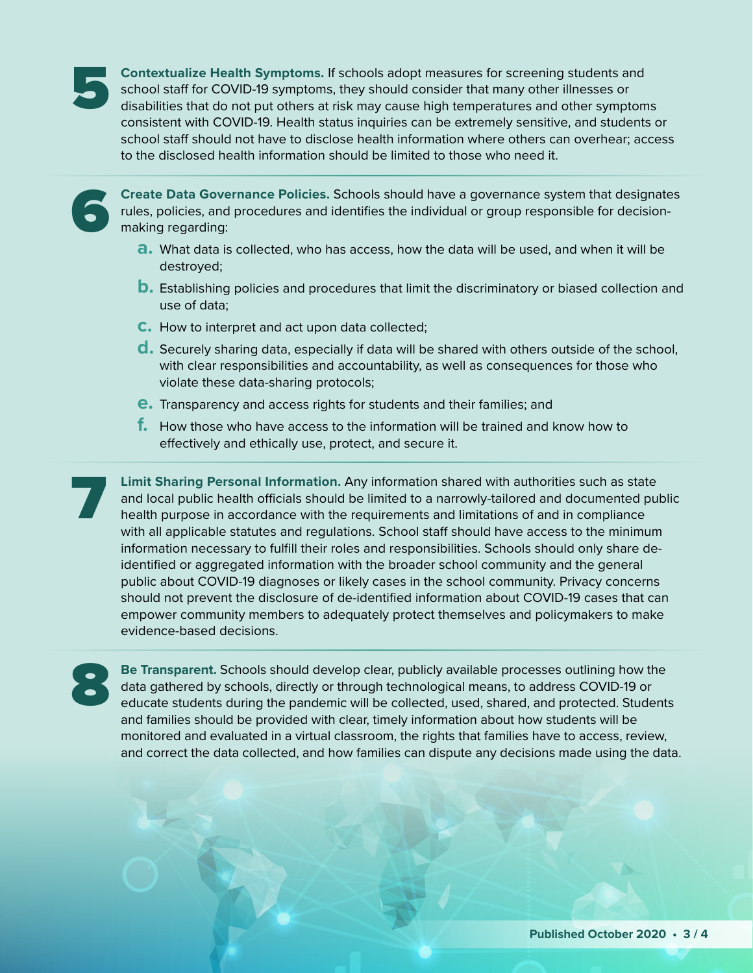

**Contextualize Health Symptoms.** If schools adopt measures for screening students and school staff for COVID-19 symptoms, they should consider that many other illnesses or disabilities that do not put others at risk may cause high temperatures and other symptoms consistent with COVID-19. Health status inquiries can be extremely sensitive, and students or school staff should not have to disclose health information where others can overhear; access to the disclosed health information should be limited to those who need it.

6

**Create Data Governance Policies.** Schools should have a governance system that designates rules, policies, and procedures and identifies the individual or group responsible for decisionmaking regarding:

- **a.** What data is collected, who has access, how the data will be used, and when it will be destroyed;
- **b.** Establishing policies and procedures that limit the discriminatory or biased collection and use of data;
- **c.** How to interpret and act upon data collected;
- **d.** Securely sharing data, especially if data will be shared with others outside of the school, with clear responsibilities and accountability, as well as consequences for those who violate these data-sharing protocols;
- **e.** Transparency and access rights for students and their families; and
- **f.** How those who have access to the information will be trained and know how to effectively and ethically use, protect, and secure it.

7 **Limit Sharing Personal Information.** Any information shared with authorities such as state and local public health officials should be limited to a narrowly-tailored and documented public health purpose in accordance with the requirements and limitations of and in compliance with all applicable statutes and regulations. School staff should have access to the minimum information necessary to fulfill their roles and responsibilities. Schools should only share deidentified or aggregated information with the broader school community and the general public about COVID-19 diagnoses or likely cases in the school community. Privacy concerns should not prevent the disclosure of de-identified information about COVID-19 cases that can empower community members to adequately protect themselves and policymakers to make evidence-based decisions.

8

**Be Transparent.** Schools should develop clear, publicly available processes outlining how the data gathered by schools, directly or through technological means, to address COVID-19 or educate students during the pandemic will be collected, used, shared, and protected. Students and families should be provided with clear, timely information about how students will be monitored and evaluated in a virtual classroom, the rights that families have to access, review, and correct the data collected, and how families can dispute any decisions made using the data.